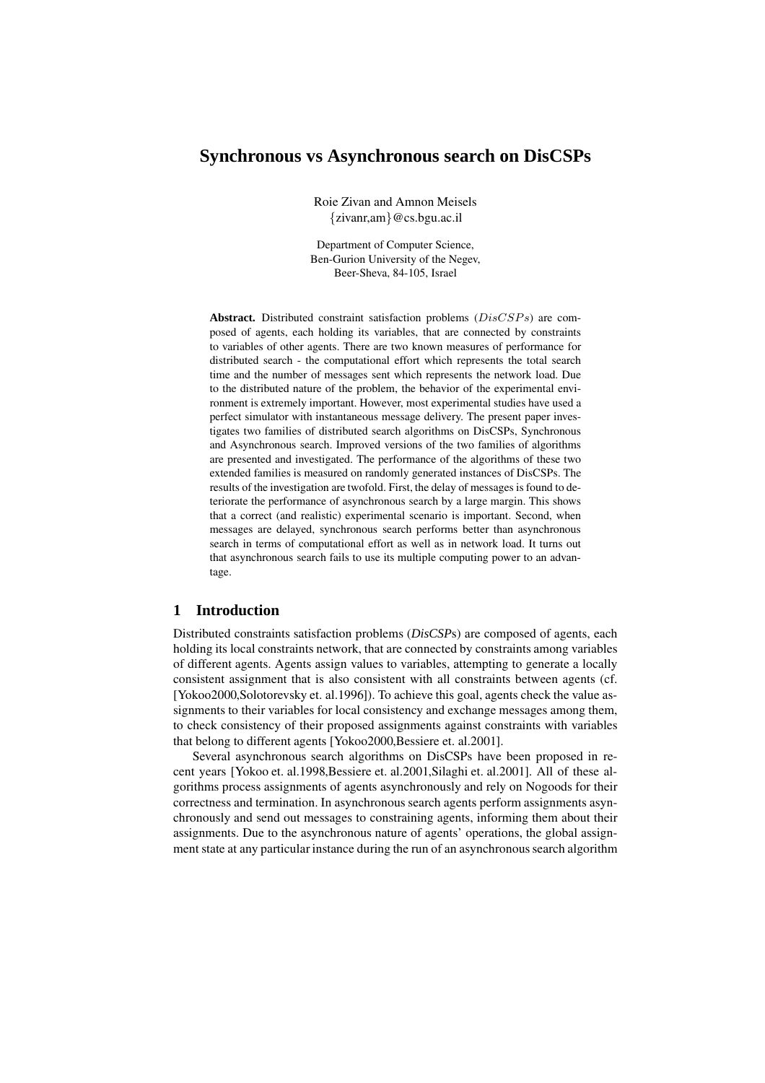# **Synchronous vs Asynchronous search on DisCSPs**

Roie Zivan and Amnon Meisels {zivanr,am}@cs.bgu.ac.il

Department of Computer Science, Ben-Gurion University of the Negev, Beer-Sheva, 84-105, Israel

Abstract. Distributed constraint satisfaction problems ( $DisCSPs$ ) are composed of agents, each holding its variables, that are connected by constraints to variables of other agents. There are two known measures of performance for distributed search - the computational effort which represents the total search time and the number of messages sent which represents the network load. Due to the distributed nature of the problem, the behavior of the experimental environment is extremely important. However, most experimental studies have used a perfect simulator with instantaneous message delivery. The present paper investigates two families of distributed search algorithms on DisCSPs, Synchronous and Asynchronous search. Improved versions of the two families of algorithms are presented and investigated. The performance of the algorithms of these two extended families is measured on randomly generated instances of DisCSPs. The results of the investigation are twofold. First, the delay of messages isfound to deteriorate the performance of asynchronous search by a large margin. This shows that a correct (and realistic) experimental scenario is important. Second, when messages are delayed, synchronous search performs better than asynchronous search in terms of computational effort as well as in network load. It turns out that asynchronous search fails to use its multiple computing power to an advantage.

## **1 Introduction**

Distributed constraints satisfaction problems (*DisCSP*s) are composed of agents, each holding its local constraints network, that are connected by constraints among variables of different agents. Agents assign values to variables, attempting to generate a locally consistent assignment that is also consistent with all constraints between agents (cf. [Yokoo2000,Solotorevsky et. al.1996]). To achieve this goal, agents check the value assignments to their variables for local consistency and exchange messages among them, to check consistency of their proposed assignments against constraints with variables that belong to different agents [Yokoo2000,Bessiere et. al.2001].

Several asynchronous search algorithms on DisCSPs have been proposed in recent years [Yokoo et. al.1998,Bessiere et. al.2001,Silaghi et. al.2001]. All of these algorithms process assignments of agents asynchronously and rely on Nogoods for their correctness and termination. In asynchronous search agents perform assignments asynchronously and send out messages to constraining agents, informing them about their assignments. Due to the asynchronous nature of agents' operations, the global assignment state at any particular instance during the run of an asynchronoussearch algorithm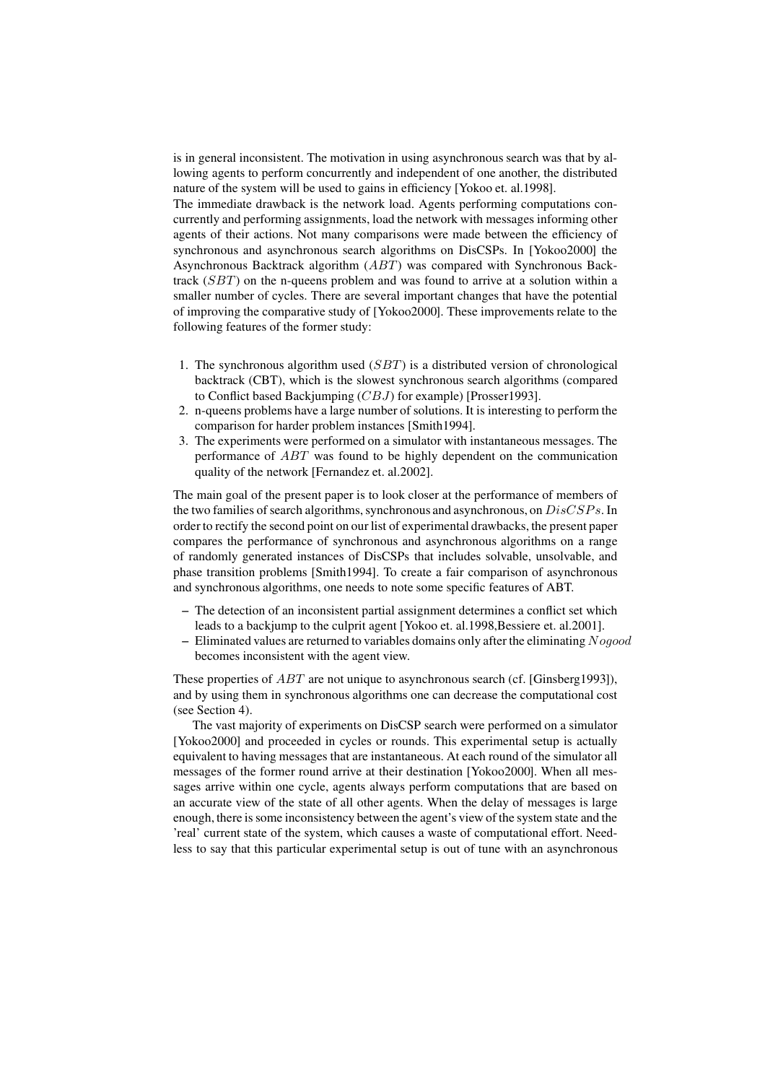is in general inconsistent. The motivation in using asynchronous search was that by allowing agents to perform concurrently and independent of one another, the distributed nature of the system will be used to gains in efficiency [Yokoo et. al.1998].

The immediate drawback is the network load. Agents performing computations concurrently and performing assignments, load the network with messages informing other agents of their actions. Not many comparisons were made between the efficiency of synchronous and asynchronous search algorithms on DisCSPs. In [Yokoo2000] the Asynchronous Backtrack algorithm (ABT) was compared with Synchronous Backtrack (SBT) on the n-queens problem and was found to arrive at a solution within a smaller number of cycles. There are several important changes that have the potential of improving the comparative study of [Yokoo2000]. These improvements relate to the following features of the former study:

- 1. The synchronous algorithm used  $(SBT)$  is a distributed version of chronological backtrack (CBT), which is the slowest synchronous search algorithms (compared to Conflict based Backjumping (CBJ) for example) [Prosser1993].
- 2. n-queens problems have a large number of solutions. It is interesting to perform the comparison for harder problem instances [Smith1994].
- 3. The experiments were performed on a simulator with instantaneous messages. The performance of ABT was found to be highly dependent on the communication quality of the network [Fernandez et. al.2002].

The main goal of the present paper is to look closer at the performance of members of the two families of search algorithms, synchronous and asynchronous, on  $DisCSPs$ . In order to rectify the second point on our list of experimental drawbacks, the present paper compares the performance of synchronous and asynchronous algorithms on a range of randomly generated instances of DisCSPs that includes solvable, unsolvable, and phase transition problems [Smith1994]. To create a fair comparison of asynchronous and synchronous algorithms, one needs to note some specific features of ABT.

- **–** The detection of an inconsistent partial assignment determines a conflict set which leads to a backjump to the culprit agent [Yokoo et. al.1998, Bessiere et. al.2001].
- **–** Eliminated values are returned to variables domains only after the eliminating Nogood becomes inconsistent with the agent view.

These properties of *ABT* are not unique to asynchronous search (cf. [Ginsberg1993]), and by using them in synchronous algorithms one can decrease the computational cost (see Section 4).

The vast majority of experiments on DisCSP search were performed on a simulator [Yokoo2000] and proceeded in cycles or rounds. This experimental setup is actually equivalent to having messages that are instantaneous. At each round of the simulator all messages of the former round arrive at their destination [Yokoo2000]. When all messages arrive within one cycle, agents always perform computations that are based on an accurate view of the state of all other agents. When the delay of messages is large enough, there is some inconsistency between the agent's view of the system state and the 'real' current state of the system, which causes a waste of computational effort. Needless to say that this particular experimental setup is out of tune with an asynchronous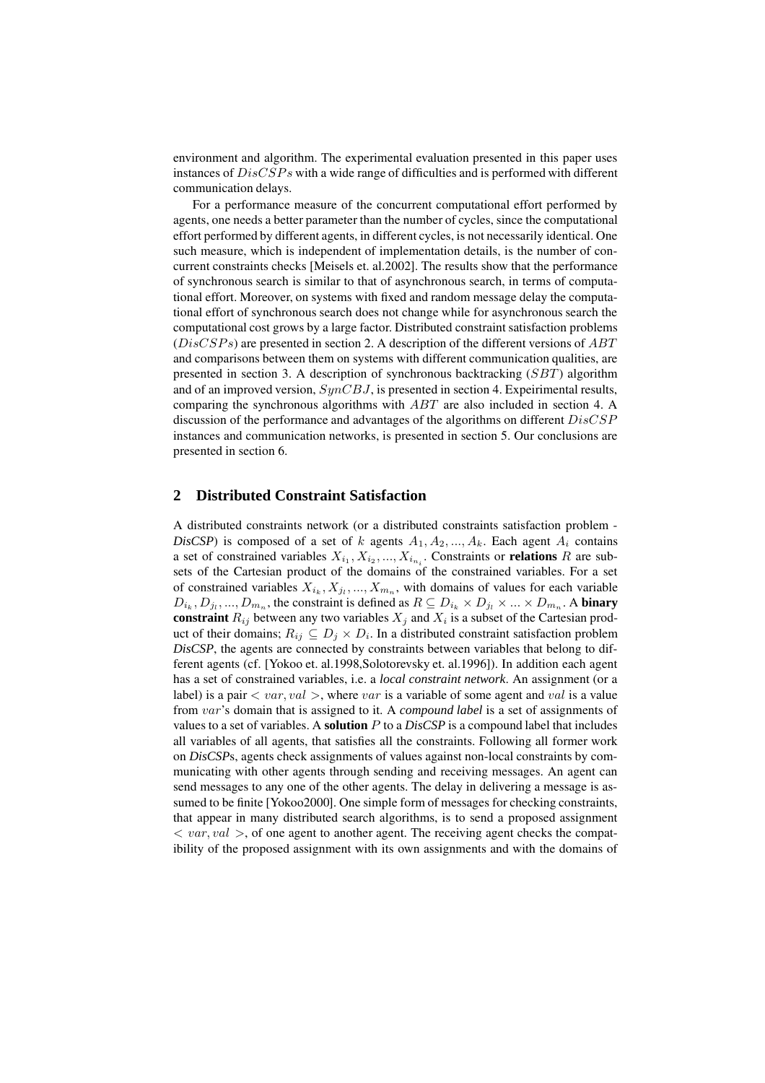environment and algorithm. The experimental evaluation presented in this paper uses instances of  $DisCSPs$  with a wide range of difficulties and is performed with different communication delays.

For a performance measure of the concurrent computational effort performed by agents, one needs a better parameter than the number of cycles, since the computational effort performed by different agents, in different cycles, is not necessarily identical. One such measure, which is independent of implementation details, is the number of concurrent constraints checks [Meisels et. al.2002]. The results show that the performance of synchronous search is similar to that of asynchronous search, in terms of computational effort. Moreover, on systems with fixed and random message delay the computational effort of synchronous search does not change while for asynchronous search the computational cost grows by a large factor. Distributed constraint satisfaction problems  $(DisCSPs)$  are presented in section 2. A description of the different versions of  $ABT$ and comparisons between them on systems with different communication qualities, are presented in section 3. A description of synchronous backtracking  $(SBT)$  algorithm and of an improved version,  $SynCBJ$ , is presented in section 4. Expeirimental results, comparing the synchronous algorithms with ABT are also included in section 4. A discussion of the performance and advantages of the algorithms on different  $DisCSP$ instances and communication networks, is presented in section 5. Our conclusions are presented in section 6.

### **2 Distributed Constraint Satisfaction**

A distributed constraints network (or a distributed constraints satisfaction problem - *DisCSP*) is composed of a set of k agents  $A_1, A_2, ..., A_k$ . Each agent  $A_i$  contains a set of constrained variables  $X_{i_1}, X_{i_2}, ..., X_{i_{n_i}}$ . Constraints or **relations** R are subsets of the Cartesian product of the domains of the constrained variables. For a set of constrained variables  $X_{i_k}, X_{j_l}, ..., X_{m_n}$ , with domains of values for each variable  $D_{i_k}, D_{j_l},..., D_{m_n}$ , the constraint is defined as  $R \subseteq D_{i_k} \times D_{j_l} \times ... \times D_{m_n}$ . A **binary** constraint  $R_{ij}$  between any two variables  $X_j$  and  $X_i$  is a subset of the Cartesian product of their domains;  $R_{ij} \subseteq D_j \times D_i$ . In a distributed constraint satisfaction problem *DisCSP*, the agents are connected by constraints between variables that belong to different agents (cf. [Yokoo et. al.1998,Solotorevsky et. al.1996]). In addition each agent has a set of constrained variables, i.e. a *local constraint network*. An assignment (or a label) is a pair  $\langle var, val \rangle$ , where var is a variable of some agent and val is a value from var's domain that is assigned to it. A *compound label* is a set of assignments of values to a set of variables. A **solution**  $P$  to a *DisCSP* is a compound label that includes all variables of all agents, that satisfies all the constraints. Following all former work on *DisCSP*s, agents check assignments of values against non-local constraints by communicating with other agents through sending and receiving messages. An agent can send messages to any one of the other agents. The delay in delivering a message is assumed to be finite [Yokoo2000]. One simple form of messages for checking constraints, that appear in many distributed search algorithms, is to send a proposed assignment  $\langle \text{var}, \text{val} \rangle$ , of one agent to another agent. The receiving agent checks the compatibility of the proposed assignment with its own assignments and with the domains of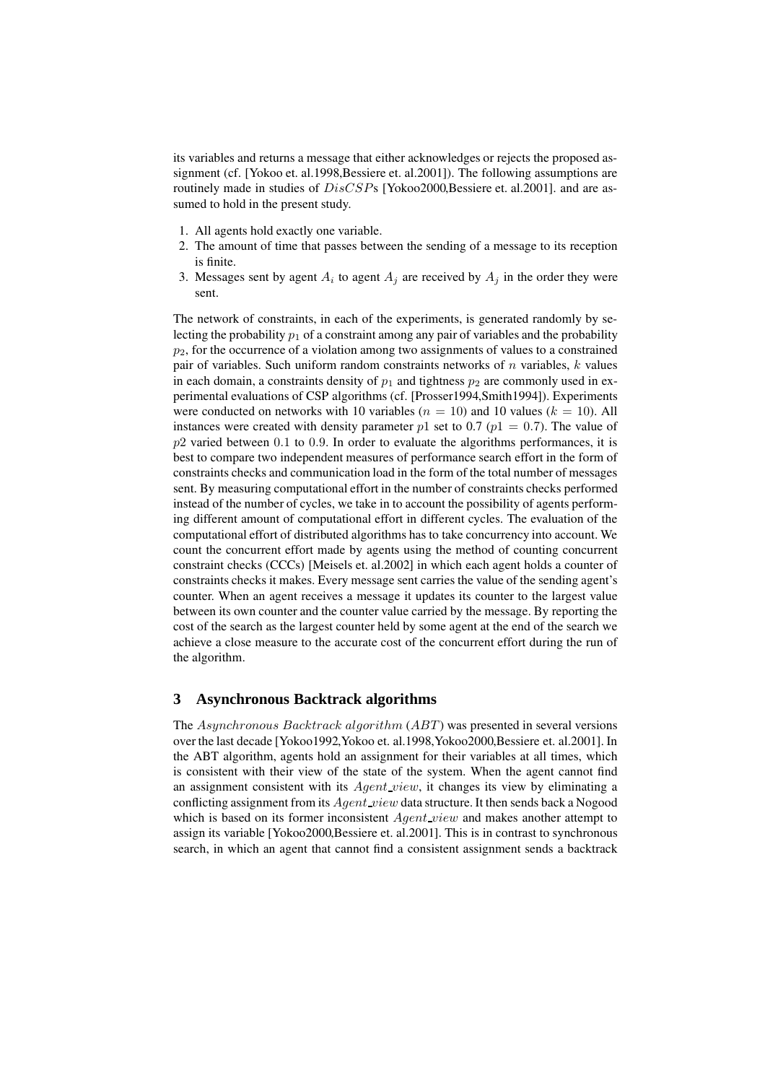its variables and returns a message that either acknowledges or rejects the proposed assignment (cf. [Yokoo et. al.1998,Bessiere et. al.2001]). The following assumptions are routinely made in studies of  $DisCSPs$  [Yokoo2000,Bessiere et. al.2001]. and are assumed to hold in the present study.

- 1. All agents hold exactly one variable.
- 2. The amount of time that passes between the sending of a message to its reception is finite.
- 3. Messages sent by agent  $A_i$  to agent  $A_j$  are received by  $A_j$  in the order they were sent.

The network of constraints, in each of the experiments, is generated randomly by selecting the probability  $p_1$  of a constraint among any pair of variables and the probability  $p_2$ , for the occurrence of a violation among two assignments of values to a constrained pair of variables. Such uniform random constraints networks of  $n$  variables,  $k$  values in each domain, a constraints density of  $p_1$  and tightness  $p_2$  are commonly used in experimental evaluations of CSP algorithms (cf. [Prosser1994,Smith1994]). Experiments were conducted on networks with 10 variables ( $n = 10$ ) and 10 values ( $k = 10$ ). All instances were created with density parameter p1 set to 0.7 ( $p1 = 0.7$ ). The value of  $p2$  varied between 0.1 to 0.9. In order to evaluate the algorithms performances, it is best to compare two independent measures of performance search effort in the form of constraints checks and communication load in the form of the total number of messages sent. By measuring computational effort in the number of constraints checks performed instead of the number of cycles, we take in to account the possibility of agents performing different amount of computational effort in different cycles. The evaluation of the computational effort of distributed algorithms has to take concurrency into account. We count the concurrent effort made by agents using the method of counting concurrent constraint checks (CCCs) [Meisels et. al.2002] in which each agent holds a counter of constraints checks it makes. Every message sent carries the value of the sending agent's counter. When an agent receives a message it updates its counter to the largest value between its own counter and the counter value carried by the message. By reporting the cost of the search as the largest counter held by some agent at the end of the search we achieve a close measure to the accurate cost of the concurrent effort during the run of the algorithm.

### **3 Asynchronous Backtrack algorithms**

The Asynchronous Backtrack algorithm (ABT) was presented in several versions over the last decade [Yokoo1992,Yokoo et. al.1998,Yokoo2000,Bessiere et. al.2001]. In the ABT algorithm, agents hold an assignment for their variables at all times, which is consistent with their view of the state of the system. When the agent cannot find an assignment consistent with its  $Agent\_view$ , it changes its view by eliminating a conflicting assignment from its  $Agent\_view$  data structure. It then sends back a Nogood which is based on its former inconsistent  $Agent\_view$  and makes another attempt to assign its variable [Yokoo2000,Bessiere et. al.2001]. This is in contrast to synchronous search, in which an agent that cannot find a consistent assignment sends a backtrack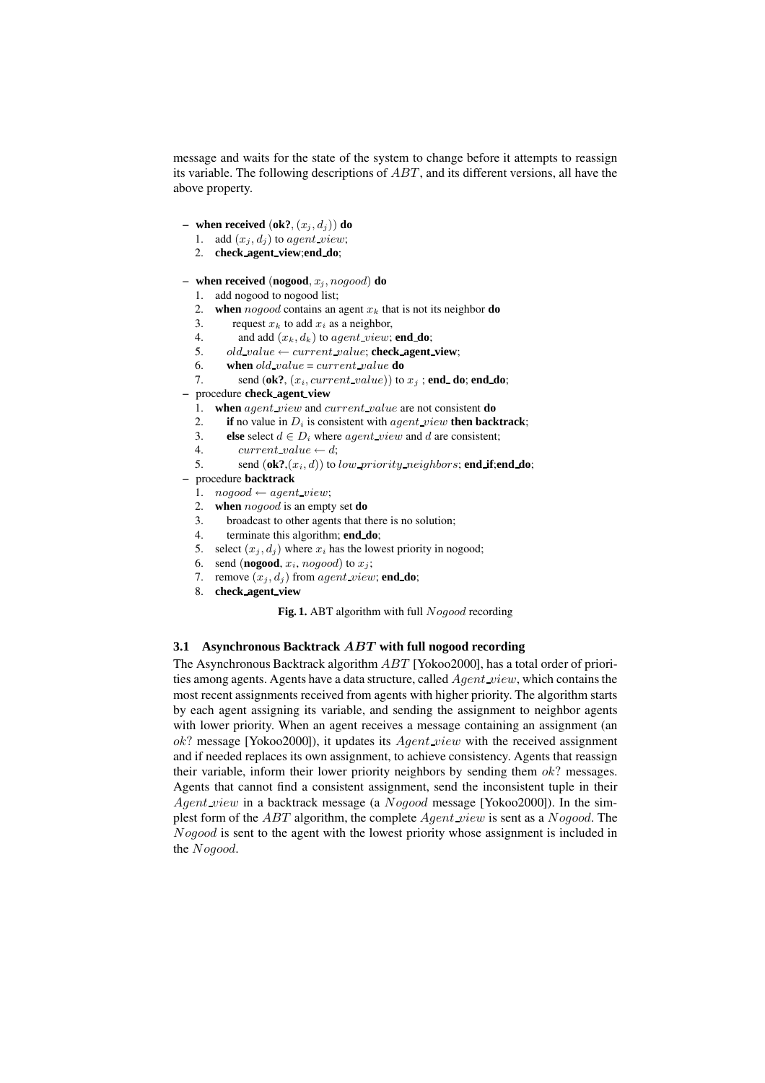message and waits for the state of the system to change before it attempts to reassign its variable. The following descriptions of  $ABT$ , and its different versions, all have the above property.

- **– when received**  $(\mathbf{ok}^2, (x_i, d_i))$  **do** 
	- 1. add  $(x_j, d_j)$  to agent\_view;
	- 2. **check agent view**;**end do**;
- $-$  **when received** (**nogood**,  $x_i$ ,  $n \in \{0, 0\}$ **do** 
	- 1. add nogood to nogood list;
	- 2. **when** nogood contains an agent  $x_k$  that is not its neighbor **do**
	- 3. request  $x_k$  to add  $x_i$  as a neighbor,
	- 4. and add  $(x_k, d_k)$  to *agent view*; **end do**;
	- 5. old\_value  $\leftarrow current\_value$ ; **check\_agent\_view**;
	- 6. **when**  $old\_value = current\_value$  **do**
	- 7. send  $(\mathbf{ok?}, (x_i, current\_value))$  to  $x_j$ ; **end\_do**; **end\_do**;
- **–** procedure **check agent view**
	- 1. **when** agent view and current value are not consistent **do**
	- 2. **if** no value in  $D_i$  is consistent with *agent\_view* **then backtrack**;
	- 3. **else** select  $d \in D_i$  where *agent view* and d are consistent;
	- 4. current\_value  $\leftarrow d$ ;
	- 5. send  $(\mathbf{ok}^2, (x_i, d))$  to *low\_priority\_neighbors*; **end\_if**; **end\_do**;
- **–** procedure **backtrack**
	- 1.  $nogood \leftarrow agent\_view;$
	- 2. **when** nogood is an empty set **do**
	- 3. broadcast to other agents that there is no solution;
	- 4. terminate this algorithm; **end do**;
	- 5. select  $(x_i, d_i)$  where  $x_i$  has the lowest priority in nogood;
	- 6. send (**nogood**,  $x_i$ , *nogood*) to  $x_i$ ;
	- 7. remove  $(x_i, d_i)$  from agent view; **end\_do**;
	- 8. **check agent view**

Fig. 1. ABT algorithm with full Nogood recording

#### **3.1 Asynchronous Backtrack** ABT **with full nogood recording**

The Asynchronous Backtrack algorithm  $ABT$  [Yokoo2000], has a total order of priorities among agents. Agents have a data structure, called  $Agent\_view$ , which contains the most recent assignments received from agents with higher priority. The algorithm starts by each agent assigning its variable, and sending the assignment to neighbor agents with lower priority. When an agent receives a message containing an assignment (an  $ok?$  message [Yokoo2000]), it updates its  $Agent\_view$  with the received assignment and if needed replaces its own assignment, to achieve consistency. Agents that reassign their variable, inform their lower priority neighbors by sending them  $ok$ ? messages. Agents that cannot find a consistent assignment, send the inconsistent tuple in their Agent view in a backtrack message (a Nogood message [Yokoo2000]). In the simplest form of the  $ABT$  algorithm, the complete  $Agent\_view$  is sent as a  $Noqood$ . The Nogood is sent to the agent with the lowest priority whose assignment is included in the Nogood.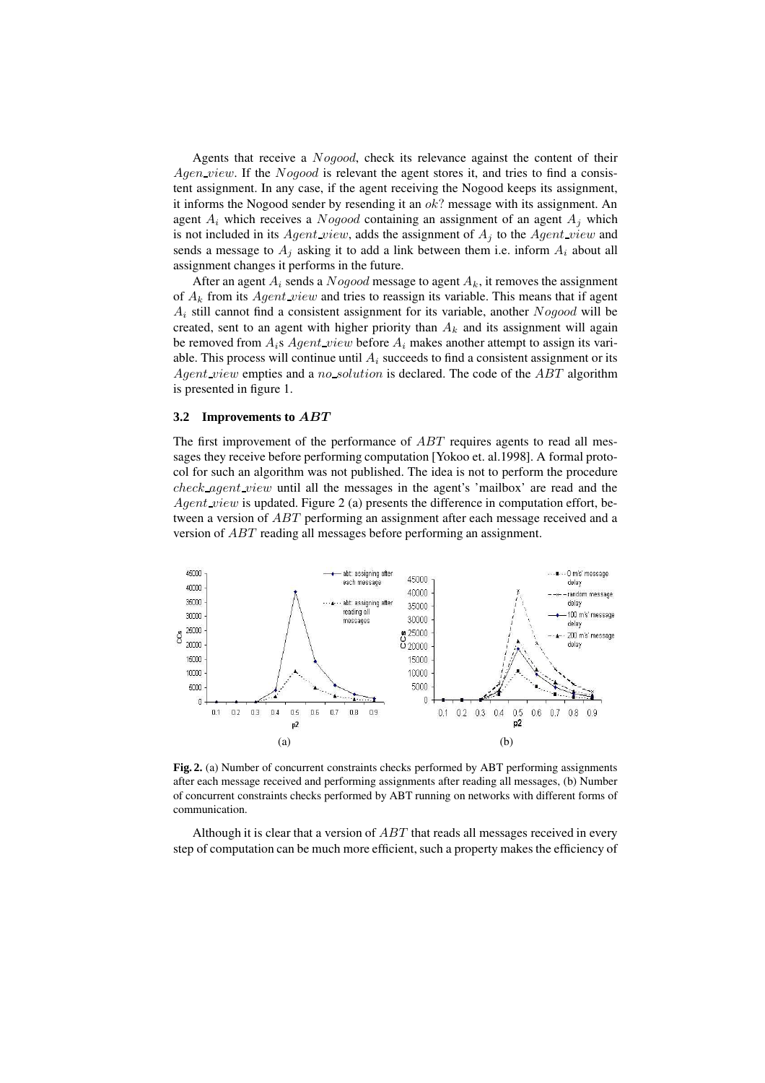Agents that receive a Nogood, check its relevance against the content of their  $Agen\_view$ . If the *Nogood* is relevant the agent stores it, and tries to find a consistent assignment. In any case, if the agent receiving the Nogood keeps its assignment, it informs the Nogood sender by resending it an  $ok$ ? message with its assignment. An agent  $A_i$  which receives a *Nogood* containing an assignment of an agent  $A_i$  which is not included in its Agent view, adds the assignment of  $A_i$  to the Agent view and sends a message to  $A_i$  asking it to add a link between them i.e. inform  $A_i$  about all assignment changes it performs in the future.

After an agent  $A_i$  sends a Nogood message to agent  $A_k$ , it removes the assignment of  $A_k$  from its  $Agent\_view$  and tries to reassign its variable. This means that if agent  $A_i$  still cannot find a consistent assignment for its variable, another  $Nogood$  will be created, sent to an agent with higher priority than  $A_k$  and its assignment will again be removed from  $A_i$ s  $Agent\_view$  before  $A_i$  makes another attempt to assign its variable. This process will continue until  $A_i$  succeeds to find a consistent assignment or its Agent view empties and a no solution is declared. The code of the ABT algorithm is presented in figure 1.

#### **3.2 Improvements to** ABT

The first improvement of the performance of ABT requires agents to read all messages they receive before performing computation [Yokoo et. al.1998]. A formal protocol for such an algorithm was not published. The idea is not to perform the procedure check agent view until all the messages in the agent's 'mailbox' are read and the  $Agent\_view$  is updated. Figure 2 (a) presents the difference in computation effort, between a version of ABT performing an assignment after each message received and a version of ABT reading all messages before performing an assignment.



**Fig. 2.** (a) Number of concurrent constraints checks performed by ABT performing assignments after each message received and performing assignments after reading all messages, (b) Number of concurrent constraints checks performed by ABT running on networks with different forms of communication.

Although it is clear that a version of  $ABT$  that reads all messages received in every step of computation can be much more efficient, such a property makes the efficiency of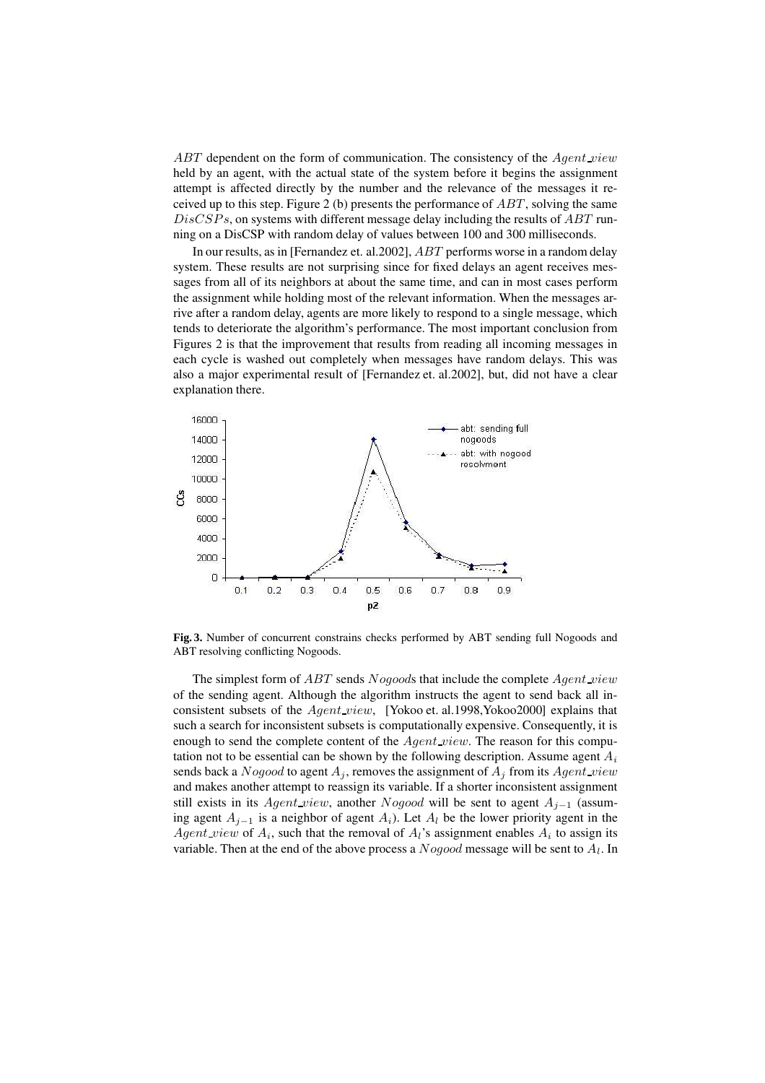$ABT$  dependent on the form of communication. The consistency of the  $Agent\_view$ held by an agent, with the actual state of the system before it begins the assignment attempt is affected directly by the number and the relevance of the messages it received up to this step. Figure 2 (b) presents the performance of  $ABT$ , solving the same  $DisCSPs$ , on systems with different message delay including the results of  $ABT$  running on a DisCSP with random delay of values between 100 and 300 milliseconds.

In our results, as in [Fernandez et. al.2002], ABT performs worse in a random delay system. These results are not surprising since for fixed delays an agent receives messages from all of its neighbors at about the same time, and can in most cases perform the assignment while holding most of the relevant information. When the messages arrive after a random delay, agents are more likely to respond to a single message, which tends to deteriorate the algorithm's performance. The most important conclusion from Figures 2 is that the improvement that results from reading all incoming messages in each cycle is washed out completely when messages have random delays. This was also a major experimental result of [Fernandez et. al.2002], but, did not have a clear explanation there.



**Fig. 3.** Number of concurrent constrains checks performed by ABT sending full Nogoods and ABT resolving conflicting Nogoods.

The simplest form of *ABT* sends *Nogoods* that include the complete *Agent view* of the sending agent. Although the algorithm instructs the agent to send back all inconsistent subsets of the  $Agent\_view$ , [Yokoo et. al.1998,Yokoo2000] explains that such a search for inconsistent subsets is computationally expensive. Consequently, it is enough to send the complete content of the *Agent view*. The reason for this computation not to be essential can be shown by the following description. Assume agent  $A_i$ sends back a Nogood to agent  $A_i$ , removes the assignment of  $A_i$  from its Agent view and makes another attempt to reassign its variable. If a shorter inconsistent assignment still exists in its Agent\_view, another Nogood will be sent to agent  $A_{i-1}$  (assuming agent  $A_{i-1}$  is a neighbor of agent  $A_i$ ). Let  $A_i$  be the lower priority agent in the Agent view of  $A_i$ , such that the removal of  $A_i$ 's assignment enables  $A_i$  to assign its variable. Then at the end of the above process a  $Nogood$  message will be sent to  $A_l$ . In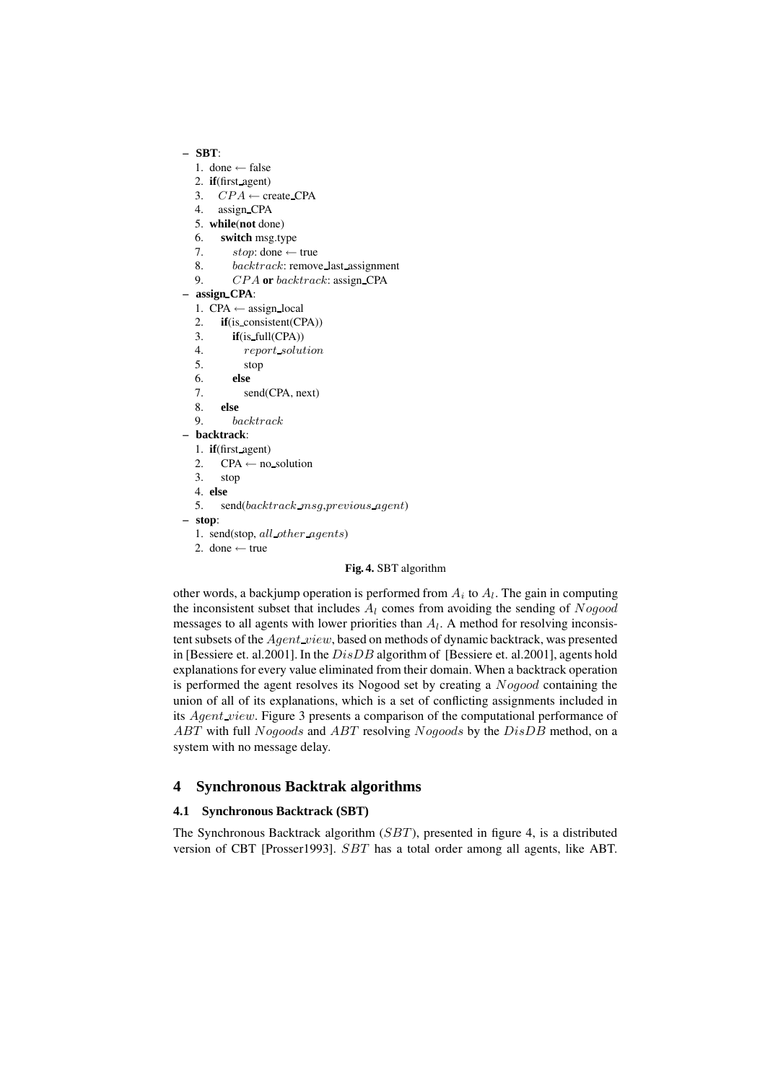## **– SBT**:

- 1. done  $\leftarrow$  false
- 2. **if**(first agent)
- 3.  $CPA \leftarrow \text{create\_CPA}$
- 4. assign CPA
- 5. **while**(**not** done)
- 6. **switch** msg.type
- 7. stop: done  $\leftarrow$  true
- 8. backtrack: remove\_last\_assignment
- 9. CPA **or** backtrack: assign CPA

#### **– assign CPA**:

- 1. CPA  $\leftarrow$  assign\_local
- 2. **if**(is consistent(CPA))
- 3. **if**(is full(CPA))
- 4. report solution
- 5. stop
- 6. **else**
- 7. send(CPA, next)
- 8. **else**
- 9. backtrack
- **– backtrack**:
	- 1. **if**(first agent)
	- 2.  $CPA \leftarrow$  no solution
	- 3. stop
	- 4. **else**
	- 5. send(backtrack msg,previous agent)
- **– stop**:
	- 1. send(stop, all other agents)
	- 2. done  $\leftarrow$  true

#### **Fig. 4.** SBT algorithm

other words, a backjump operation is performed from  $A_i$  to  $A_i$ . The gain in computing the inconsistent subset that includes  $A_l$  comes from avoiding the sending of  $Nogood$ messages to all agents with lower priorities than  $A_l$ . A method for resolving inconsistent subsets of the *Agent\_view*, based on methods of dynamic backtrack, was presented in [Bessiere et. al.2001]. In the DisDB algorithm of [Bessiere et. al.2001], agents hold explanations for every value eliminated from their domain. When a backtrack operation is performed the agent resolves its Nogood set by creating a Nogood containing the union of all of its explanations, which is a set of conflicting assignments included in its *Agent\_view*. Figure 3 presents a comparison of the computational performance of ABT with full Nogoods and ABT resolving Nogoods by the DisDB method, on a system with no message delay.

### **4 Synchronous Backtrak algorithms**

#### **4.1 Synchronous Backtrack (SBT)**

The Synchronous Backtrack algorithm (SBT), presented in figure 4, is a distributed version of CBT [Prosser1993]. SBT has a total order among all agents, like ABT.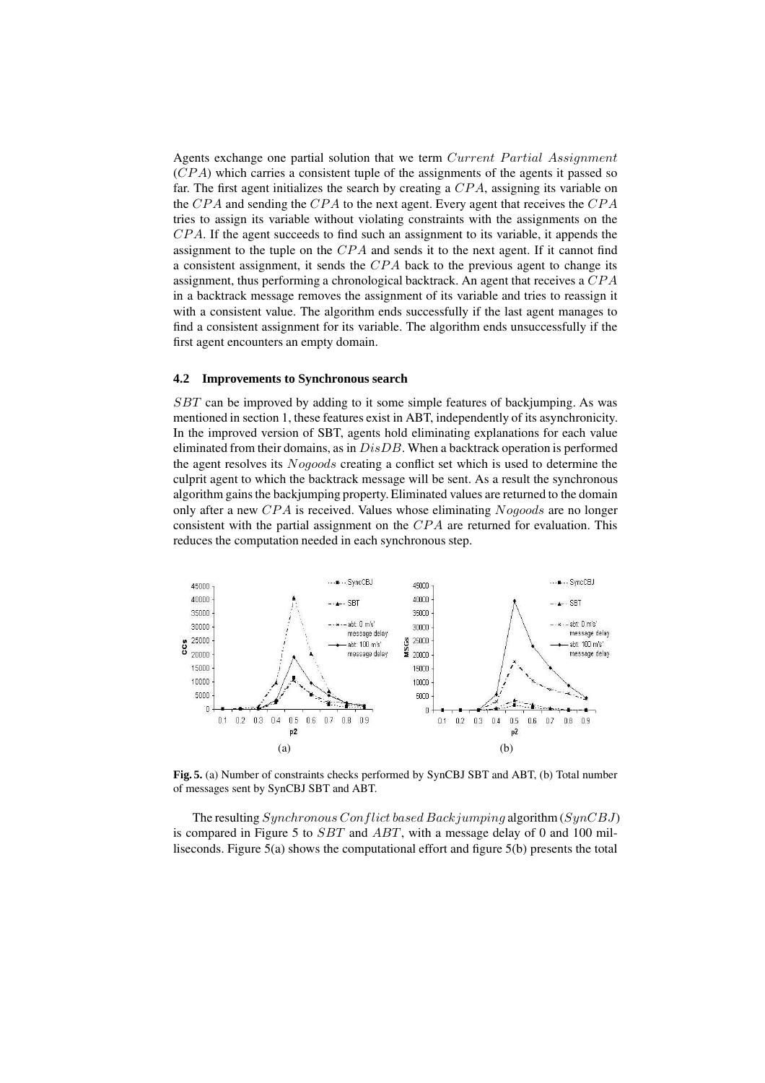Agents exchange one partial solution that we term Current Partial Assignment  $(CPA)$  which carries a consistent tuple of the assignments of the agents it passed so far. The first agent initializes the search by creating a  $CPA$ , assigning its variable on the  $CPA$  and sending the  $CPA$  to the next agent. Every agent that receives the  $CPA$ tries to assign its variable without violating constraints with the assignments on the  $CPA$ . If the agent succeeds to find such an assignment to its variable, it appends the assignment to the tuple on the  $CPA$  and sends it to the next agent. If it cannot find a consistent assignment, it sends the CPA back to the previous agent to change its assignment, thus performing a chronological backtrack. An agent that receives a  $CPA$ in a backtrack message removes the assignment of its variable and tries to reassign it with a consistent value. The algorithm ends successfully if the last agent manages to find a consistent assignment for its variable. The algorithm ends unsuccessfully if the first agent encounters an empty domain.

#### **4.2 Improvements to Synchronous search**

SBT can be improved by adding to it some simple features of backjumping. As was mentioned in section 1, these features exist in ABT, independently of its asynchronicity. In the improved version of SBT, agents hold eliminating explanations for each value eliminated from their domains, as in  $DisDB$ . When a backtrack operation is performed the agent resolves its Nogoods creating a conflict set which is used to determine the culprit agent to which the backtrack message will be sent. As a result the synchronous algorithm gains the backjumping property. Eliminated values are returned to the domain only after a new  $CPA$  is received. Values whose eliminating  $Nogoods$  are no longer consistent with the partial assignment on the  $CPA$  are returned for evaluation. This reduces the computation needed in each synchronous step.



**Fig. 5.** (a) Number of constraints checks performed by SynCBJ SBT and ABT, (b) Total number of messages sent by SynCBJ SBT and ABT.

The resulting  $Synchronous$  Conflict based Backjumping algorithm (SynCBJ) is compared in Figure 5 to  $SBT$  and  $ABT$ , with a message delay of 0 and 100 milliseconds. Figure 5(a) shows the computational effort and figure 5(b) presents the total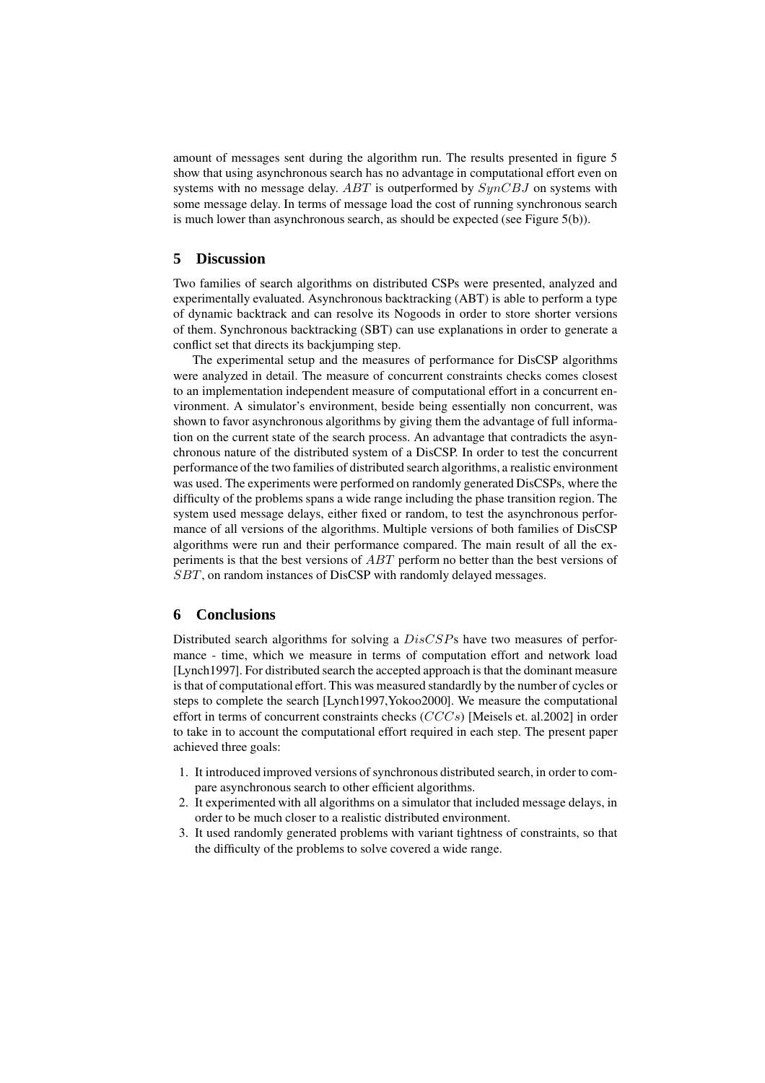amount of messages sent during the algorithm run. The results presented in figure 5 show that using asynchronous search has no advantage in computational effort even on systems with no message delay. ABT is outperformed by  $SynCBJ$  on systems with some message delay. In terms of message load the cost of running synchronous search is much lower than asynchronous search, as should be expected (see Figure 5(b)).

### **5 Discussion**

Two families of search algorithms on distributed CSPs were presented, analyzed and experimentally evaluated. Asynchronous backtracking (ABT) is able to perform a type of dynamic backtrack and can resolve its Nogoods in order to store shorter versions of them. Synchronous backtracking (SBT) can use explanations in order to generate a conflict set that directs its backjumping step.

The experimental setup and the measures of performance for DisCSP algorithms were analyzed in detail. The measure of concurrent constraints checks comes closest to an implementation independent measure of computational effort in a concurrent environment. A simulator's environment, beside being essentially non concurrent, was shown to favor asynchronous algorithms by giving them the advantage of full information on the current state of the search process. An advantage that contradicts the asynchronous nature of the distributed system of a DisCSP. In order to test the concurrent performance of the two families of distributed search algorithms, a realistic environment was used. The experiments were performed on randomly generated DisCSPs, where the difficulty of the problems spans a wide range including the phase transition region. The system used message delays, either fixed or random, to test the asynchronous performance of all versions of the algorithms. Multiple versions of both families of DisCSP algorithms were run and their performance compared. The main result of all the experiments is that the best versions of ABT perform no better than the best versions of SBT, on random instances of DisCSP with randomly delayed messages.

## **6 Conclusions**

Distributed search algorithms for solving a DisCSPs have two measures of performance - time, which we measure in terms of computation effort and network load [Lynch1997]. For distributed search the accepted approach is that the dominant measure is that of computational effort. This was measured standardly by the number of cycles or steps to complete the search [Lynch1997,Yokoo2000]. We measure the computational effort in terms of concurrent constraints checks  $(CCCs)$  [Meisels et. al.2002] in order to take in to account the computational effort required in each step. The present paper achieved three goals:

- 1. It introduced improved versions of synchronous distributed search, in order to compare asynchronous search to other efficient algorithms.
- 2. It experimented with all algorithms on a simulator that included message delays, in order to be much closer to a realistic distributed environment.
- 3. It used randomly generated problems with variant tightness of constraints, so that the difficulty of the problems to solve covered a wide range.